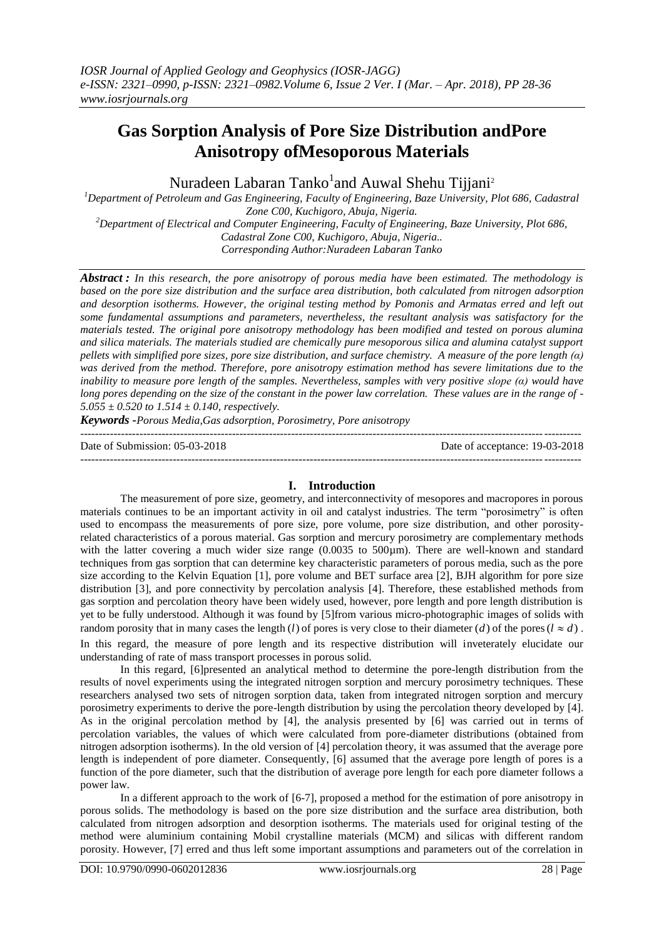# **Gas Sorption Analysis of Pore Size Distribution andPore Anisotropy ofMesoporous Materials**

Nuradeen Labaran Tanko<sup>1</sup>and Auwal Shehu Tijjani<sup>2</sup>

*<sup>1</sup>Department of Petroleum and Gas Engineering, Faculty of Engineering, Baze University, Plot 686, Cadastral Zone C00, Kuchigoro, Abuja, Nigeria. <sup>2</sup>Department of Electrical and Computer Engineering, Faculty of Engineering, Baze University, Plot 686, Cadastral Zone C00, Kuchigoro, Abuja, Nigeria..*

*Corresponding Author:Nuradeen Labaran Tanko*

*Abstract : In this research, the pore anisotropy of porous media have been estimated. The methodology is based on the pore size distribution and the surface area distribution, both calculated from nitrogen adsorption and desorption isotherms. However, the original testing method by Pomonis and Armatas erred and left out some fundamental assumptions and parameters, nevertheless, the resultant analysis was satisfactory for the materials tested. The original pore anisotropy methodology has been modified and tested on porous alumina and silica materials. The materials studied are chemically pure mesoporous silica and alumina catalyst support pellets with simplified pore sizes, pore size distribution, and surface chemistry. A measure of the pore length (α) was derived from the method. Therefore, pore anisotropy estimation method has severe limitations due to the inability to measure pore length of the samples. Nevertheless, samples with very positive slope (α) would have long pores depending on the size of the constant in the power law correlation. These values are in the range of - 5.055 ± 0.520 to 1.514 ± 0.140, respectively.*

*Keywords -Porous Media,Gas adsorption, Porosimetry, Pore anisotropy* ---------------------------------------------------------------------------------------------------------------------------------------

Date of Submission: 05-03-2018 Date of acceptance: 19-03-2018 --------------------------------------------------------------------------------------------------------------------------------------*-*

## **I. Introduction**

The measurement of pore size, geometry, and interconnectivity of mesopores and macropores in porous materials continues to be an important activity in oil and catalyst industries. The term "porosimetry" is often used to encompass the measurements of pore size, pore volume, pore size distribution, and other porosityrelated characteristics of a porous material. Gas sorption and mercury porosimetry are complementary methods with the latter covering a much wider size range  $(0.0035 \text{ to } 500 \mu \text{m})$ . There are well-known and standard techniques from gas sorption that can determine key characteristic parameters of porous media, such as the pore size according to the Kelvin Equation [1], pore volume and BET surface area [2], BJH algorithm for pore size distribution [3], and pore connectivity by percolation analysis [4]. Therefore, these established methods from gas sorption and percolation theory have been widely used, however, pore length and pore length distribution is yet to be fully understood. Although it was found by [5]from various micro-photographic images of solids with random porosity that in many cases the length (*l*) of pores is very close to their diameter (*d*) of the pores ( $l \approx d$ ). In this regard, the measure of pore length and its respective distribution will inveterately elucidate our understanding of rate of mass transport processes in porous solid.

In this regard, [6]presented an analytical method to determine the pore-length distribution from the results of novel experiments using the integrated nitrogen sorption and mercury porosimetry techniques. These researchers analysed two sets of nitrogen sorption data, taken from integrated nitrogen sorption and mercury porosimetry experiments to derive the pore-length distribution by using the percolation theory developed by [4]. As in the original percolation method by [4], the analysis presented by [6] was carried out in terms of percolation variables, the values of which were calculated from pore-diameter distributions (obtained from nitrogen adsorption isotherms). In the old version of [4] percolation theory, it was assumed that the average pore length is independent of pore diameter. Consequently, [6] assumed that the average pore length of pores is a function of the pore diameter, such that the distribution of average pore length for each pore diameter follows a power law.

In a different approach to the work of [6-7], proposed a method for the estimation of pore anisotropy in porous solids. The methodology is based on the pore size distribution and the surface area distribution, both calculated from nitrogen adsorption and desorption isotherms. The materials used for original testing of the method were aluminium containing Mobil crystalline materials (MCM) and silicas with different random porosity. However, [7] erred and thus left some important assumptions and parameters out of the correlation in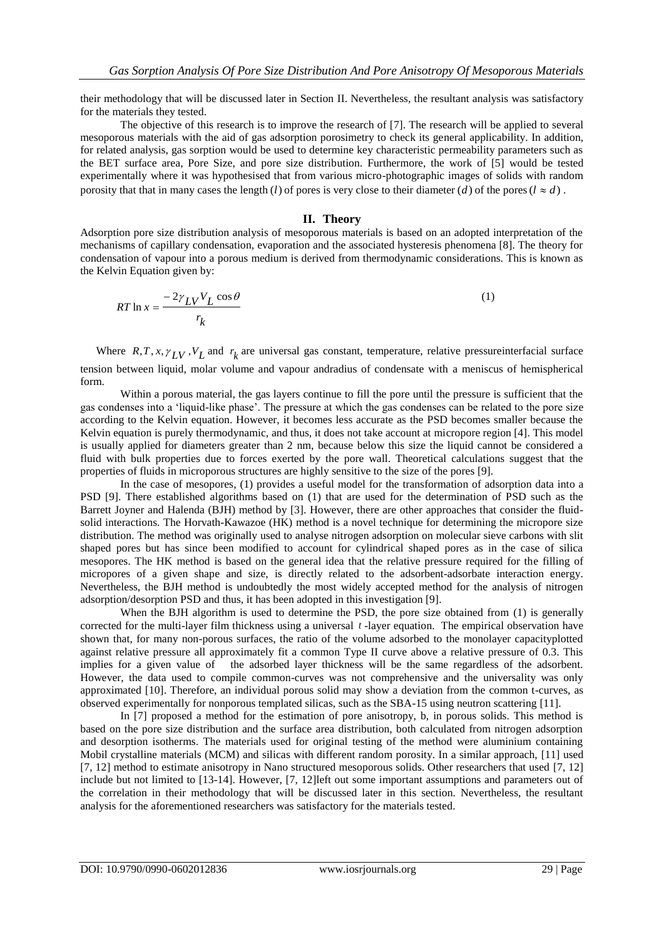their methodology that will be discussed later in Section II. Nevertheless, the resultant analysis was satisfactory for the materials they tested.

The objective of this research is to improve the research of [7]. The research will be applied to several mesoporous materials with the aid of gas adsorption porosimetry to check its general applicability. In addition, for related analysis, gas sorption would be used to determine key characteristic permeability parameters such as the BET surface area, Pore Size, and pore size distribution. Furthermore, the work of [5] would be tested experimentally where it was hypothesised that from various micro-photographic images of solids with random porosity that that in many cases the length (*l*) of pores is very close to their diameter (*d*) of the pores ( $l \approx d$ ).

## **II. Theory**

Adsorption pore size distribution analysis of mesoporous materials is based on an adopted interpretation of the mechanisms of capillary condensation, evaporation and the associated hysteresis phenomena [8]. The theory for condensation of vapour into a porous medium is derived from thermodynamic considerations. This is known as the Kelvin Equation given by:

$$
RT \ln x = \frac{-2\gamma_{LV} V_L \cos \theta}{r_k} \tag{1}
$$

Where  $R, T, x, \gamma_{LV}, V_L$  and  $r_k$  are universal gas constant, temperature, relative pressure interfacial surface tension between liquid, molar volume and vapour andradius of condensate with a meniscus of hemispherical form.

Within a porous material, the gas layers continue to fill the pore until the pressure is sufficient that the gas condenses into a "liquid-like phase". The pressure at which the gas condenses can be related to the pore size according to the Kelvin equation. However, it becomes less accurate as the PSD becomes smaller because the Kelvin equation is purely thermodynamic, and thus, it does not take account at micropore region [4]. This model is usually applied for diameters greater than 2 nm, because below this size the liquid cannot be considered a fluid with bulk properties due to forces exerted by the pore wall. Theoretical calculations suggest that the properties of fluids in microporous structures are highly sensitive to the size of the pores [9].

In the case of mesopores, (1) provides a useful model for the transformation of adsorption data into a PSD [9]. There established algorithms based on (1) that are used for the determination of PSD such as the Barrett Joyner and Halenda (BJH) method by [3]. However, there are other approaches that consider the fluidsolid interactions. The Horvath-Kawazoe (HK) method is a novel technique for determining the micropore size distribution. The method was originally used to analyse nitrogen adsorption on molecular sieve carbons with slit shaped pores but has since been modified to account for cylindrical shaped pores as in the case of silica mesopores. The HK method is based on the general idea that the relative pressure required for the filling of micropores of a given shape and size, is directly related to the adsorbent-adsorbate interaction energy. Nevertheless, the BJH method is undoubtedly the most widely accepted method for the analysis of nitrogen adsorption/desorption PSD and thus, it has been adopted in this investigation [9].

When the BJH algorithm is used to determine the PSD, the pore size obtained from (1) is generally corrected for the multi-layer film thickness using a universal *t* -layer equation. The empirical observation have shown that, for many non-porous surfaces, the ratio of the volume adsorbed to the monolayer capacityplotted against relative pressure all approximately fit a common Type II curve above a relative pressure of 0.3. This implies for a given value of the adsorbed layer thickness will be the same regardless of the adsorbent. However, the data used to compile common-curves was not comprehensive and the universality was only approximated [10]. Therefore, an individual porous solid may show a deviation from the common t-curves, as observed experimentally for nonporous templated silicas, such as the SBA-15 using neutron scattering [11].

In [7] proposed a method for the estimation of pore anisotropy, b, in porous solids. This method is based on the pore size distribution and the surface area distribution, both calculated from nitrogen adsorption and desorption isotherms. The materials used for original testing of the method were aluminium containing Mobil crystalline materials (MCM) and silicas with different random porosity. In a similar approach, [11] used [7, 12] method to estimate anisotropy in Nano structured mesoporous solids. Other researchers that used [7, 12] include but not limited to [13-14]. However, [7, 12]left out some important assumptions and parameters out of the correlation in their methodology that will be discussed later in this section. Nevertheless, the resultant analysis for the aforementioned researchers was satisfactory for the materials tested.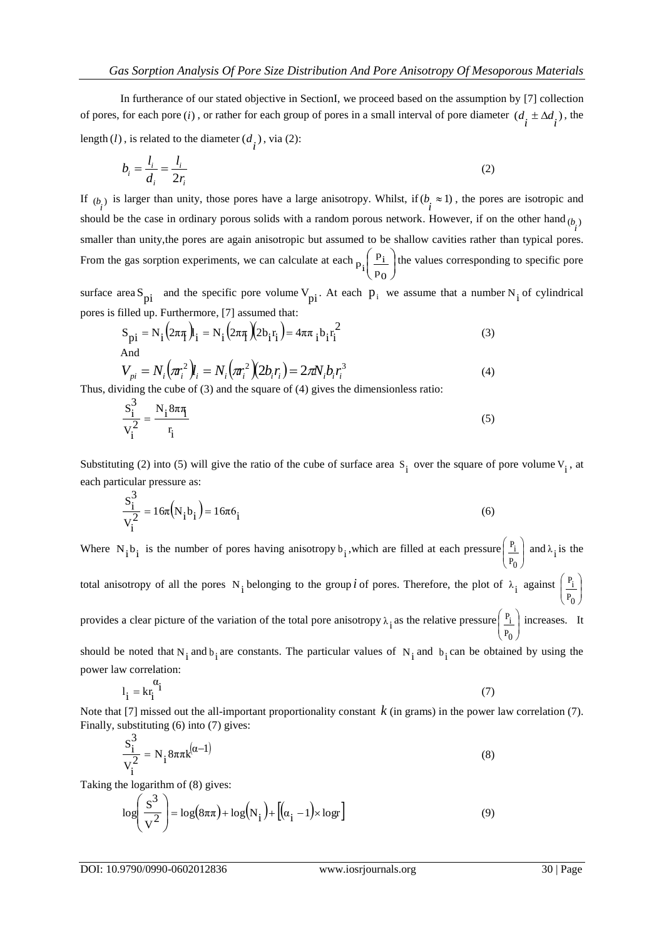In furtherance of our stated objective in SectionI, we proceed based on the assumption by [7] collection of pores, for each pore (*i*), or rather for each group of pores in a small interval of pore diameter  $(d_i \pm \Delta d_i)$ , the length  $(l)$ , is related to the diameter  $(d_i)$ , via  $(2)$ :

$$
b_i = \frac{l_i}{d_i} = \frac{l_i}{2r_i} \tag{2}
$$

If  $(b_i)$  is larger than unity, those pores have a large anisotropy. Whilst, if  $(b_i \approx 1)$ , the pores are isotropic and should be the case in ordinary porous solids with a random porous network. However, if on the other hand  $(b_i)$ smaller than unity,the pores are again anisotropic but assumed to be shallow cavities rather than typical pores. From the gas sorption experiments, we can calculate at each  $p_i \begin{bmatrix} p_i \\ p_o \end{bmatrix}$  $\bigg)$  $\backslash$  $\overline{\phantom{a}}$  $\overline{\mathcal{L}}$ ſ  $P<sub>0</sub>$  $\overline{p}_i$  $p_i \frac{p_i}{p_o}$  the values corresponding to specific pore

surface area S<sub>pi</sub> and the specific pore volume  $V_{pi}$ . At each  $p_i$  we assume that a number N<sub>i</sub> of cylindrical pores is filled up. Furthermore, [7] assumed that:

$$
S_{\text{pi}} = N_{i} \left( 2\pi \pi_{i} \right) I_{i} = N_{i} \left( 2\pi \pi_{i} \left( 2b_{i} r_{i} \right) \right) = 4\pi \pi_{i} b_{i} r_{i}^{2}
$$
\nAnd

$$
V_{pi} = N_i \left(\pi_i^2 \right) l_i = N_i \left(\pi_i^2 \right) \left(2b_i r_i\right) = 2\pi N_i b_i r_i^3
$$
\n(4)

\nviding the cube of (3) and the square of (4) gives the dimensionless ratio:

Thus, dividing the cube of (3) and the square of (4) gives the dimensionless ratio:

$$
\frac{S_i^3}{V_i^2} = \frac{N_i 8\pi \eta}{r_i}
$$
\n(5)

Substituting (2) into (5) will give the ratio of the cube of surface area  $S_i$  over the square of pore volume  $V_i$ , at each particular pressure as:

$$
\frac{S_i^3}{V_i^2} = 16\pi (N_i b_i) = 16\pi 6_i
$$
\n(6)

Where  $N_i b_i$  is the number of pores having anisotropy  $b_i$ , which are filled at each pressure  $\frac{P_i}{P_D}$ J  $\lambda$  $\overline{\phantom{a}}$  $\overline{\phantom{0}}$ ſ  $P_0$  $\frac{P_i}{P_i}$  and  $\lambda_i$  is the total anisotropy of all the pores N<sub>i</sub> belonging to the group *i* of pores. Therefore, the plot of  $\lambda_i$  against  $\begin{pmatrix} P_i \\ P_o \end{pmatrix}$  $($ r<sub>0</sub> $)$  $\Bigg($ P<sub>t</sub>  $\frac{P_i}{I}$ provides a clear picture of the variation of the total pore anisotropy  $\lambda_i$  as the relative pressure  $\frac{P_i}{P_0}$ J  $\left( \right)$  $\overline{\phantom{a}}$  $\overline{\phantom{0}}$ ſ  $P_0$  $\frac{P_i}{I}$  increases. It

should be noted that  $N_i$  and  $b_i$  are constants. The particular values of  $N_i$  and  $b_i$  can be obtained by using the power law correlation:

$$
l_i = kr_i^{\alpha_i}
$$
 (7)

Note that [7] missed out the all-important proportionality constant  $k$  (in grams) in the power law correlation (7). Finally, substituting (6) into (7) gives:

$$
\frac{S_i^3}{V_i^2} = N_i 8\pi \pi k^{(\alpha - 1)}
$$
\n(8)

Taking the logarithm of (8) gives:

$$
\log\left(\frac{S^3}{V^2}\right) = \log(8\pi\pi) + \log(N_i) + \left[ (\alpha_i - 1) \times \log \right]
$$
\n(9)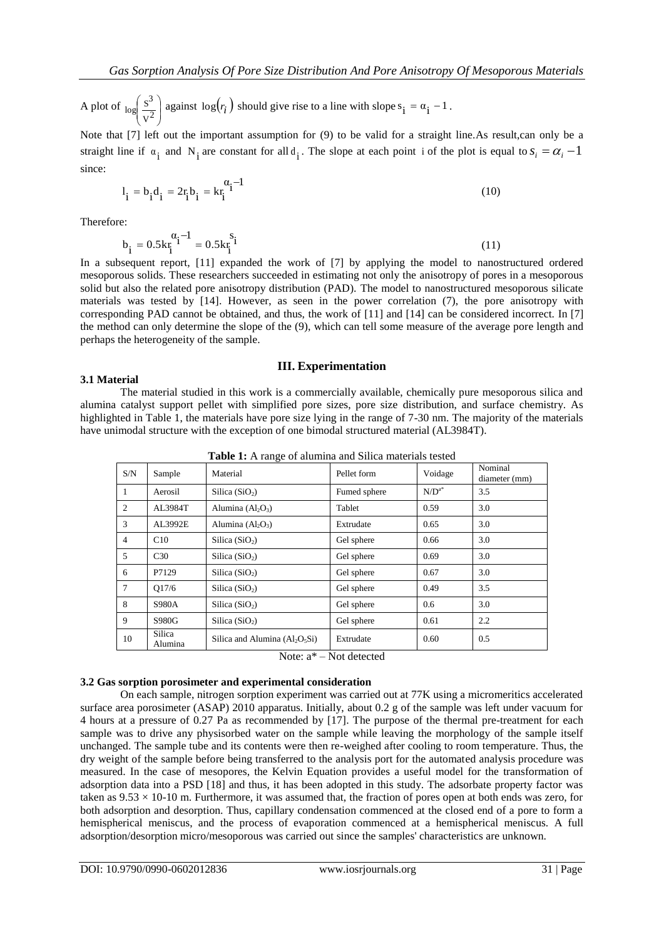A plot of  $\log \left| \frac{S}{V^2} \right|$ J  $\mathcal{L}_{\mathcal{L}}$  $\overline{\phantom{a}}$  $\overline{\phantom{0}}$ ſ  $v^2$  $\log \left( \frac{s^3}{s^2} \right)$  against  $\log(r_i)$  should give rise to a line with slope s<sub>i</sub> =  $\alpha_i$  - 1.

Note that [7] left out the important assumption for (9) to be valid for a straight line.As result,can only be a straight line if  $\alpha_i$  and  $N_i$  are constant for all  $d_i$ . The slope at each point i of the plot is equal to  $s_i = \alpha_i - 1$ since:

$$
l_i = b_i d_i = 2r_i b_i = kr_i^{\alpha_i - 1}
$$
 (10)

Therefore:

$$
b_{i} = 0.5k_{i}^{a_{i} - 1} = 0.5k_{i}^{s_{i}}
$$
 (11)

In a subsequent report, [11] expanded the work of [7] by applying the model to nanostructured ordered mesoporous solids. These researchers succeeded in estimating not only the anisotropy of pores in a mesoporous solid but also the related pore anisotropy distribution (PAD). The model to nanostructured mesoporous silicate materials was tested by [14]. However, as seen in the power correlation (7), the pore anisotropy with corresponding PAD cannot be obtained, and thus, the work of [11] and [14] can be considered incorrect. In [7] the method can only determine the slope of the (9), which can tell some measure of the average pore length and perhaps the heterogeneity of the sample.

#### **III. Experimentation**

## **3.1 Material**

The material studied in this work is a commercially available, chemically pure mesoporous silica and alumina catalyst support pellet with simplified pore sizes, pore size distribution, and surface chemistry. As highlighted in Table 1, the materials have pore size lying in the range of 7-30 nm. The majority of the materials have unimodal structure with the exception of one bimodal structured material (AL3984T).

| Table 1: A range of alumina and Silica materials tested |  |
|---------------------------------------------------------|--|
|                                                         |  |

| S/N            | Sample            | Material                         | Pellet form  | Voidage     | Nominal<br>diameter (mm) |
|----------------|-------------------|----------------------------------|--------------|-------------|--------------------------|
| $\overline{1}$ | Aerosil           | Silica $(SiO2)$                  | Fumed sphere | $N/D^{a^*}$ | 3.5                      |
| 2              | AL3984T           | Alumina $(Al_2O_3)$              | Tablet       | 0.59        | 3.0                      |
| 3              | AL3992E           | Alumina $(Al_2O_3)$              | Extrudate    | 0.65        | 3.0                      |
| $\overline{4}$ | C10               | Silica $(SiO2)$                  | Gel sphere   | 0.66        | 3.0                      |
| 5              | C <sub>30</sub>   | Silica $(SiO2)$                  | Gel sphere   | 0.69        | 3.0                      |
| 6              | P7129             | Silica $(SiO2)$                  | Gel sphere   | 0.67        | 3.0                      |
| $\tau$         | O17/6             | Silica $(SiO2)$                  | Gel sphere   | 0.49        | 3.5                      |
| 8              | <b>S980A</b>      | Silica $(SiO2)$                  | Gel sphere   | 0.6         | 3.0                      |
| 9              | S980G             | Silica $(SiO2)$                  | Gel sphere   | 0.61        | 2.2                      |
| 10             | Silica<br>Alumina | Silica and Alumina $(Al_2O_5Si)$ | Extrudate    | 0.60        | 0.5                      |

Note: a\* – Not detected

## **3.2 Gas sorption porosimeter and experimental consideration**

On each sample, nitrogen sorption experiment was carried out at 77K using a micromeritics accelerated surface area porosimeter (ASAP) 2010 apparatus. Initially, about 0.2 g of the sample was left under vacuum for 4 hours at a pressure of 0.27 Pa as recommended by [17]. The purpose of the thermal pre-treatment for each sample was to drive any physisorbed water on the sample while leaving the morphology of the sample itself unchanged. The sample tube and its contents were then re-weighed after cooling to room temperature. Thus, the dry weight of the sample before being transferred to the analysis port for the automated analysis procedure was measured. In the case of mesopores, the Kelvin Equation provides a useful model for the transformation of adsorption data into a PSD [18] and thus, it has been adopted in this study. The adsorbate property factor was taken as  $9.53 \times 10-10$  m. Furthermore, it was assumed that, the fraction of pores open at both ends was zero, for both adsorption and desorption. Thus, capillary condensation commenced at the closed end of a pore to form a hemispherical meniscus, and the process of evaporation commenced at a hemispherical meniscus. A full adsorption/desorption micro/mesoporous was carried out since the samples' characteristics are unknown.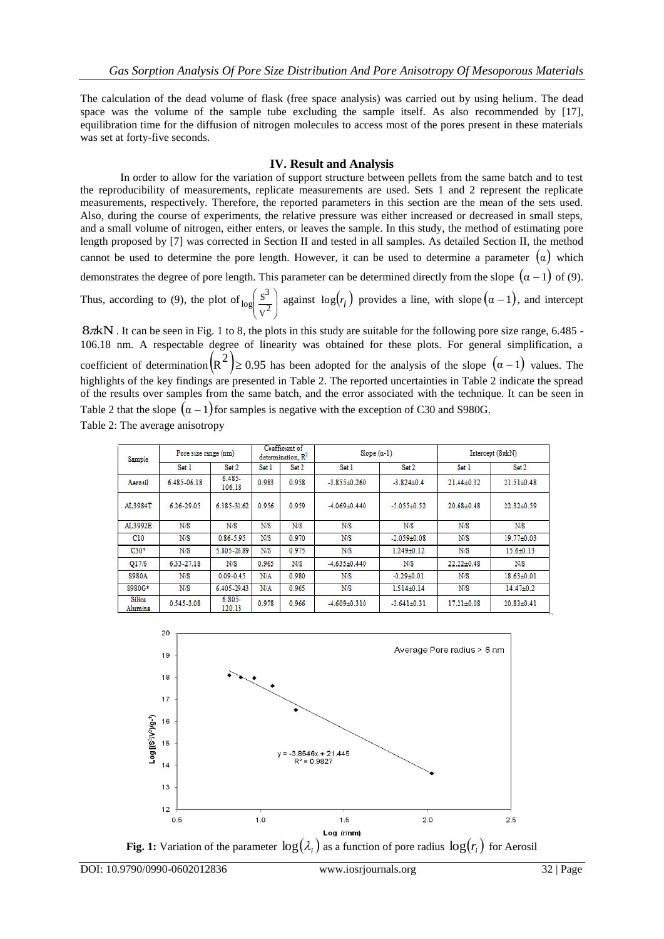The calculation of the dead volume of flask (free space analysis) was carried out by using helium. The dead space was the volume of the sample tube excluding the sample itself. As also recommended by [17], equilibration time for the diffusion of nitrogen molecules to access most of the pores present in these materials was set at forty-five seconds.

## **IV. Result and Analysis**

In order to allow for the variation of support structure between pellets from the same batch and to test the reproducibility of measurements, replicate measurements are used. Sets 1 and 2 represent the replicate measurements, respectively. Therefore, the reported parameters in this section are the mean of the sets used. Also, during the course of experiments, the relative pressure was either increased or decreased in small steps, and a small volume of nitrogen, either enters, or leaves the sample. In this study, the method of estimating pore length proposed by [7] was corrected in Section II and tested in all samples. As detailed Section II, the method cannot be used to determine the pore length. However, it can be used to determine a parameter  $(\alpha)$  which demonstrates the degree of pore length. This parameter can be determined directly from the slope  $(\alpha - 1)$  of (9). Thus, according to (9), the plot of  $\log \frac{S^2}{V^2}$ )  $\mathcal{L}$  $\overline{\phantom{a}}$  $\overline{\phantom{0}}$ ſ  $v^2$  $\log \left( \frac{s^3}{2} \right)$  against  $\log(r_i)$  provides a line, with slope  $(\alpha - 1)$ , and intercept

87 kN . It can be seen in Fig. 1 to 8, the plots in this study are suitable for the following pore size range, 6.485 -106.18 nm. A respectable degree of linearity was obtained for these plots. For general simplification, a coefficient of determination  $\left(\mathbb{R}^2\right) \geq 0.95$  has been adopted for the analysis of the slope  $\left(\alpha - 1\right)$  values. The highlights of the key findings are presented in Table 2. The reported uncertainties in Table 2 indicate the spread of the results over samples from the same batch, and the error associated with the technique. It can be seen in Table 2 that the slope  $(\alpha - 1)$  for samples is negative with the exception of C30 and S980G. Table 2: The average anisotropy

| Sample            | Pore size range (nm) |                     |       | Coefficient of<br>determination, $R^2$ | Slope $(a-1)$<br>Intercept $(8\pi kN)$ |                   |                  |                  |
|-------------------|----------------------|---------------------|-------|----------------------------------------|----------------------------------------|-------------------|------------------|------------------|
|                   | Set 1                | Set 2               | Set 1 | Set 2                                  | Set 1                                  | Set 2             | Set 1            | Set 2            |
| Aerosil           | 6.485-06.18          | $6.485 -$<br>106.18 | 0.983 | 0.958                                  | $-3.855 \pm 0.260$                     | $-3.824 \pm 0.4$  | $21.44 \pm 0.32$ | $21.51 \pm 0.48$ |
| AL3984T           | 6.26-29.05           | 6.385-31.62         | 0.956 | 0.959                                  | $-4.069 + 0.440$                       | $-5.055 + 0.52$   | $20.68 + 0.48$   | $22.32+0.59$     |
| AL3992E           | N/S                  | N/S                 | N/S   | N/S                                    | N/S                                    | N/S               | N/S              | N/S              |
| C10               | N/S                  | $0.86 - 5.95$       | N/S   | 0.970                                  | N/S                                    | $-2.059 + 0.08$   | N/S              | 19.77±0.03       |
| $C30*$            | N/S                  | 5.805-26.89         | N/S   | 0.975                                  | N/S                                    | $1.249 + 0.12$    | N/S              | $15.6 \pm 0.13$  |
| O17/6             | 6.33-27.18           | N/S                 | 0.965 | N/S                                    | $-4.635 \pm 0.440$                     | N/S               | $22.22 \pm 0.48$ | N/S              |
| S980A             | N/S                  | $0.09 - 0.45$       | N/A   | 0.980                                  | N/S                                    | $-0.29 + 0.01$    | N/S              | $18.63 \pm 0.01$ |
| S980G*            | N/S                  | 6.405-29.43         | N/A   | 0.965                                  | N/S                                    | $1.514\pm0.14$    | N/S              | $14.47\pm0.2$    |
| Silica<br>Alumina | 0.545-3.08           | $6.805 -$<br>120.13 | 0.978 | 0.966                                  | $-4.609 + 0.310$                       | $-3.641 \pm 0.31$ | $17.21 \pm 0.08$ | $20.83 \pm 0.41$ |



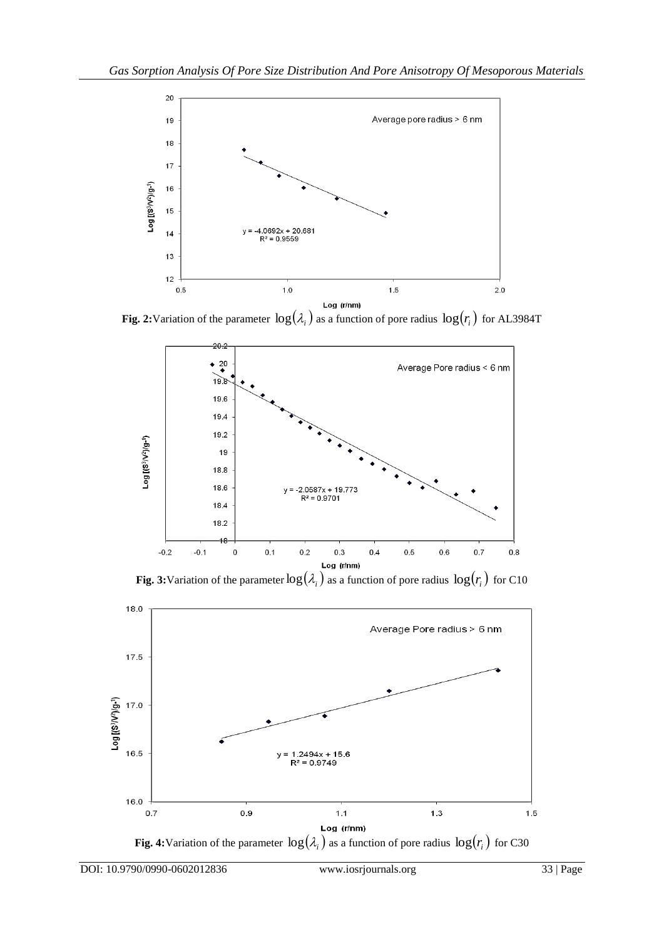

**Fig. 2:**Variation of the parameter  $\log(\lambda_i)$  as a function of pore radius  $\log(r_i)$  for AL3984T



**Fig. 3:**Variation of the parameter  $\log(\lambda_i)$  as a function of pore radius  $\log(r_i)$  for C10



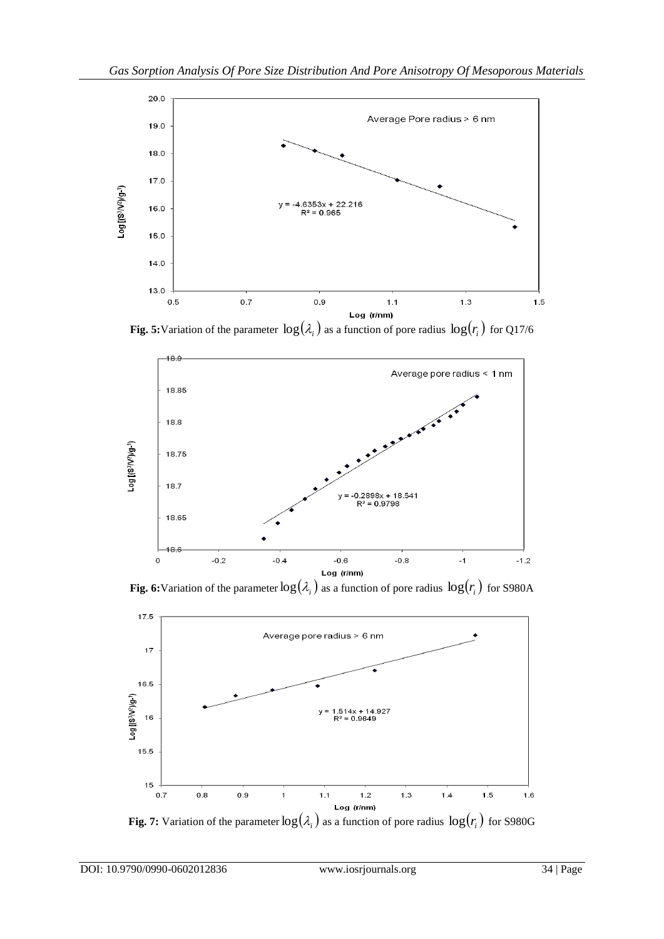

**Fig. 5:**Variation of the parameter  $\log(\lambda_i)$  as a function of pore radius  $\log(r_i)$  for Q17/6



**Fig. 6:**Variation of the parameter  $\log(\lambda_i)$  as a function of pore radius  $\log(r_i)$  for S980A



**Fig. 7:** Variation of the parameter  $\log(\lambda_i)$  as a function of pore radius  $\log(r_i)$  for S980G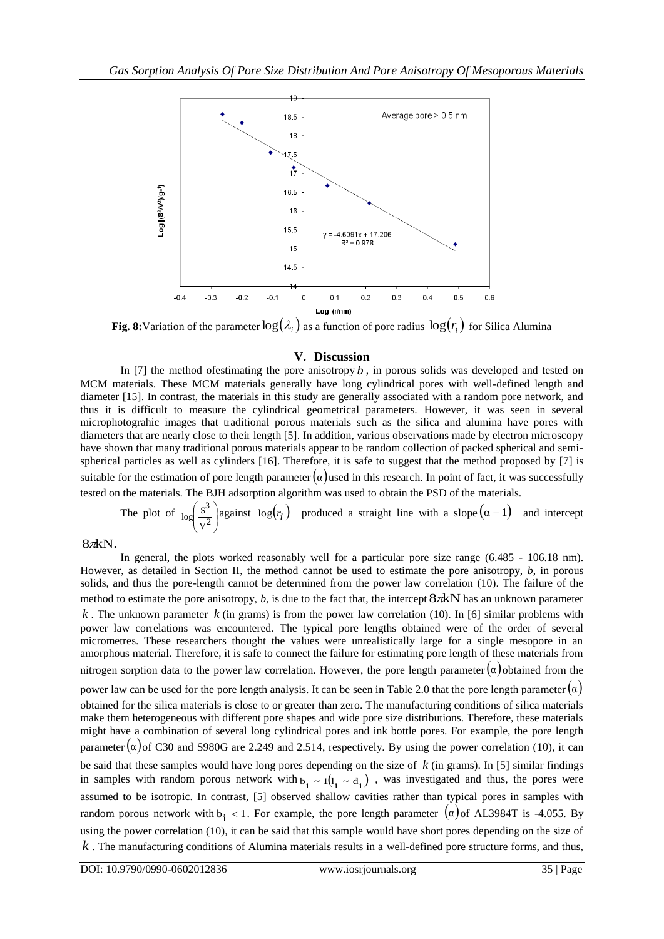

**Fig. 8:**Variation of the parameter  $\log(\lambda_i)$  as a function of pore radius  $\log(r_i)$  for Silica Alumina

## **V. Discussion**

In [7] the method of estimating the pore anisotropy  $b$ , in porous solids was developed and tested on MCM materials. These MCM materials generally have long cylindrical pores with well-defined length and diameter [15]. In contrast, the materials in this study are generally associated with a random pore network, and thus it is difficult to measure the cylindrical geometrical parameters. However, it was seen in several microphotograhic images that traditional porous materials such as the silica and alumina have pores with diameters that are nearly close to their length [5]. In addition, various observations made by electron microscopy have shown that many traditional porous materials appear to be random collection of packed spherical and semispherical particles as well as cylinders [16]. Therefore, it is safe to suggest that the method proposed by [7] is suitable for the estimation of pore length parameter  $\alpha$ ) used in this research. In point of fact, it was successfully tested on the materials. The BJH adsorption algorithm was used to obtain the PSD of the materials.

The plot of  $\log \left| \frac{S^2}{V^2} \right|$ Ј  $\lambda$  $\overline{\phantom{a}}$ L ſ  $v^2$  $\log \left( \frac{s^3}{2} \right)$  against  $\log(r_i)$  produced a straight line with a slope  $(\alpha - 1)$  and intercept

## $8\n$ {nkN}.

In general, the plots worked reasonably well for a particular pore size range (6.485 - 106.18 nm). However, as detailed in Section II, the method cannot be used to estimate the pore anisotropy, *b*, in porous solids, and thus the pore-length cannot be determined from the power law correlation (10). The failure of the method to estimate the pore anisotropy,  $b$ , is due to the fact that, the intercept  $8\pi kN$  has an unknown parameter  $k$ . The unknown parameter  $k$  (in grams) is from the power law correlation (10). In [6] similar problems with power law correlations was encountered. The typical pore lengths obtained were of the order of several micrometres. These researchers thought the values were unrealistically large for a single mesopore in an amorphous material. Therefore, it is safe to connect the failure for estimating pore length of these materials from nitrogen sorption data to the power law correlation. However, the pore length parameter  $(\alpha)$  obtained from the power law can be used for the pore length analysis. It can be seen in Table 2.0 that the pore length parameter  $(\alpha)$ obtained for the silica materials is close to or greater than zero. The manufacturing conditions of silica materials make them heterogeneous with different pore shapes and wide pore size distributions. Therefore, these materials might have a combination of several long cylindrical pores and ink bottle pores. For example, the pore length parameter  $(\alpha)$  of C30 and S980G are 2.249 and 2.514, respectively. By using the power correlation (10), it can be said that these samples would have long pores depending on the size of  $k$  (in grams). In [5] similar findings in samples with random porous network with  $b_i \sim 1(l_i \sim d_i)$ , was investigated and thus, the pores were assumed to be isotropic. In contrast, [5] observed shallow cavities rather than typical pores in samples with random porous network with  $b_i < 1$ . For example, the pore length parameter  $(\alpha)$  of AL3984T is -4.055. By using the power correlation (10), it can be said that this sample would have short pores depending on the size of *k* . The manufacturing conditions of Alumina materials results in a well-defined pore structure forms, and thus,